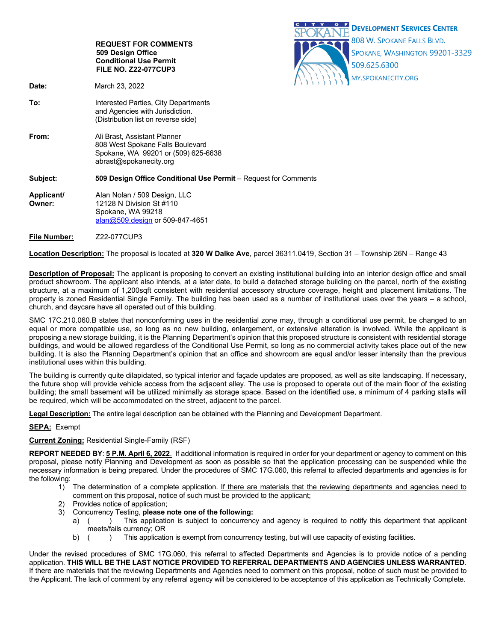|                      | <b>REQUEST FOR COMMENTS</b><br>509 Design Office<br><b>Conditional Use Permit</b><br><b>FILE NO. Z22-077CUP3</b>                  | <b>DEVELOPMENT SERVICES CENTER</b><br>808 W. SPOKANE FALLS BLVD.<br>SPOKANE, WASHINGTON 99201-3329<br>509.625.6300 |
|----------------------|-----------------------------------------------------------------------------------------------------------------------------------|--------------------------------------------------------------------------------------------------------------------|
| Date:                | March 23, 2022                                                                                                                    | MY.SPOKANECITY.ORG                                                                                                 |
| To:                  | Interested Parties, City Departments<br>and Agencies with Jurisdiction.<br>(Distribution list on reverse side)                    |                                                                                                                    |
| From:                | Ali Brast, Assistant Planner<br>808 West Spokane Falls Boulevard<br>Spokane, WA 99201 or (509) 625-6638<br>abrast@spokanecity.org |                                                                                                                    |
| Subject:             | 509 Design Office Conditional Use Permit - Request for Comments                                                                   |                                                                                                                    |
| Applicant/<br>Owner: | Alan Nolan / 509 Design, LLC<br>12128 N Division St #110<br>Spokane, WA 99218<br>alan@509.design or 509-847-4651                  |                                                                                                                    |
| <b>File Number:</b>  | Z22-077CUP3                                                                                                                       |                                                                                                                    |

**Location Description:** The proposal is located at **320 W Dalke Ave**, parcel 36311.0419, Section 31 – Township 26N – Range 43

**Description of Proposal:** The applicant is proposing to convert an existing institutional building into an interior design office and small product showroom. The applicant also intends, at a later date, to build a detached storage building on the parcel, north of the existing structure, at a maximum of 1,200sqft consistent with residential accessory structure coverage, height and placement limitations. The property is zoned Residential Single Family. The building has been used as a number of institutional uses over the years – a school, church, and daycare have all operated out of this building.

SMC 17C.210.060.B states that nonconforming uses in the residential zone may, through a conditional use permit, be changed to an equal or more compatible use, so long as no new building, enlargement, or extensive alteration is involved. While the applicant is proposing a new storage building, it is the Planning Department's opinion that this proposed structure is consistent with residential storage buildings, and would be allowed regardless of the Conditional Use Permit, so long as no commercial activity takes place out of the new building. It is also the Planning Department's opinion that an office and showroom are equal and/or lesser intensity than the previous institutional uses within this building.

The building is currently quite dilapidated, so typical interior and façade updates are proposed, as well as site landscaping. If necessary, the future shop will provide vehicle access from the adjacent alley. The use is proposed to operate out of the main floor of the existing building; the small basement will be utilized minimally as storage space. Based on the identified use, a minimum of 4 parking stalls will be required, which will be accommodated on the street, adjacent to the parcel.

**Legal Description:** The entire legal description can be obtained with the Planning and Development Department.

# **SEPA:** Exempt

### **Current Zoning:** Residential Single-Family (RSF)

**REPORT NEEDED BY**: **5 P.M. April 6, 2022**. If additional information is required in order for your department or agency to comment on this proposal, please notify Planning and Development as soon as possible so that the application processing can be suspended while the necessary information is being prepared. Under the procedures of SMC 17G.060, this referral to affected departments and agencies is for the following:

- 1) The determination of a complete application. If there are materials that the reviewing departments and agencies need to comment on this proposal, notice of such must be provided to the applicant;
- 2) Provides notice of application;
- 3) Concurrency Testing, **please note one of the following:**
	- a) ( ) This application is subject to concurrency and agency is required to notify this department that applicant meets/fails currency; OR
	- b) () This application is exempt from concurrency testing, but will use capacity of existing facilities.

Under the revised procedures of SMC 17G.060, this referral to affected Departments and Agencies is to provide notice of a pending application. **THIS WILL BE THE LAST NOTICE PROVIDED TO REFERRAL DEPARTMENTS AND AGENCIES UNLESS WARRANTED**. If there are materials that the reviewing Departments and Agencies need to comment on this proposal, notice of such must be provided to the Applicant. The lack of comment by any referral agency will be considered to be acceptance of this application as Technically Complete.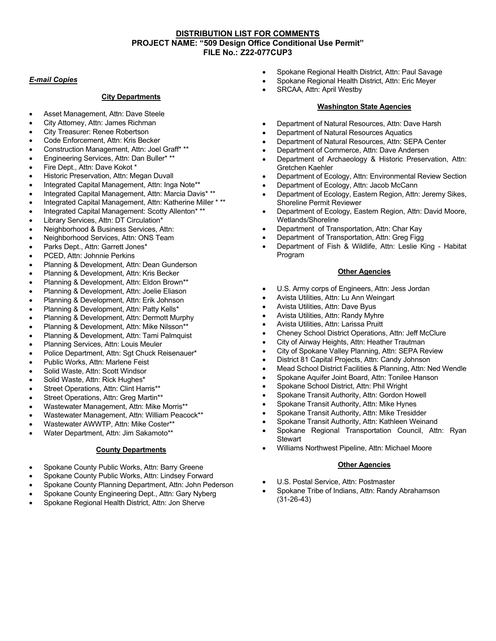# **DISTRIBUTION LIST FOR COMMENTS PROJECT NAME: "509 Design Office Conditional Use Permit" FILE No.: Z22-077CUP3**

## *E-mail Copies*

## **City Departments**

- Asset Management, Attn: Dave Steele
- City Attorney, Attn: James Richman
- City Treasurer: Renee Robertson
- Code Enforcement, Attn: Kris Becker
- Construction Management, Attn: Joel Graff\* \*\*
- Engineering Services, Attn: Dan Buller\* \*\*
- Fire Dept., Attn: Dave Kokot \*
- Historic Preservation, Attn: Megan Duvall
- Integrated Capital Management, Attn: Inga Note\*\*
- Integrated Capital Management, Attn: Marcia Davis\* \*\*
- Integrated Capital Management, Attn: Katherine Miller \* \*\*
- Integrated Capital Management: Scotty Allenton\* \*\*
- Library Services, Attn: DT Circulation\*
- Neighborhood & Business Services, Attn:
- Neighborhood Services, Attn: ONS Team
- Parks Dept., Attn: Garrett Jones\*
- PCED, Attn: Johnnie Perkins
- Planning & Development, Attn: Dean Gunderson
- Planning & Development, Attn: Kris Becker
- Planning & Development, Attn: Eldon Brown\*\*
- Planning & Development, Attn: Joelie Eliason
- Planning & Development, Attn: Erik Johnson
- Planning & Development, Attn: Patty Kells\*
- Planning & Development, Attn: Dermott Murphy
- Planning & Development, Attn: Mike Nilsson\*\*
- Planning & Development, Attn: Tami Palmquist
- Planning Services, Attn: Louis Meuler
- Police Department, Attn: Sgt Chuck Reisenauer\*
- Public Works, Attn: Marlene Feist
- Solid Waste, Attn: Scott Windsor
- Solid Waste, Attn: Rick Hughes\*
- Street Operations, Attn: Clint Harris\*\*
- Street Operations, Attn: Greg Martin\*\*
- Wastewater Management, Attn: Mike Morris\*\*
- Wastewater Management, Attn: William Peacock\*\*
- Wastewater AWWTP, Attn: Mike Coster\*\*
- Water Department, Attn: Jim Sakamoto\*\*

### **County Departments**

- Spokane County Public Works, Attn: Barry Greene
- Spokane County Public Works, Attn: Lindsey Forward
- Spokane County Planning Department, Attn: John Pederson
- Spokane County Engineering Dept., Attn: Gary Nyberg
- Spokane Regional Health District, Attn: Jon Sherve
- Spokane Regional Health District, Attn: Paul Savage
- Spokane Regional Health District, Attn: Eric Meyer
- SRCAA, Attn: April Westby

#### **Washington State Agencies**

- Department of Natural Resources, Attn: Dave Harsh
- Department of Natural Resources Aquatics
- Department of Natural Resources, Attn: SEPA Center
- Department of Commerce, Attn: Dave Andersen
- Department of Archaeology & Historic Preservation, Attn: Gretchen Kaehler
- Department of Ecology, Attn: Environmental Review Section
- Department of Ecology, Attn: Jacob McCann
- Department of Ecology, Eastern Region, Attn: Jeremy Sikes, Shoreline Permit Reviewer
- Department of Ecology, Eastern Region, Attn: David Moore, Wetlands/Shoreline
- Department of Transportation, Attn: Char Kay
- Department of Transportation, Attn: Greg Figg
- Department of Fish & Wildlife, Attn: Leslie King Habitat Program

### **Other Agencies**

- U.S. Army corps of Engineers, Attn: Jess Jordan
- Avista Utilities, Attn: Lu Ann Weingart
- Avista Utilities, Attn: Dave Byus
- Avista Utilities, Attn: Randy Myhre
- Avista Utilities, Attn: Larissa Pruitt
- Cheney School District Operations, Attn: Jeff McClure
- City of Airway Heights, Attn: Heather Trautman
- City of Spokane Valley Planning, Attn: SEPA Review
- District 81 Capital Projects, Attn: Candy Johnson
- Mead School District Facilities & Planning, Attn: Ned Wendle
- Spokane Aquifer Joint Board, Attn: Tonilee Hanson
- Spokane School District, Attn: Phil Wright
- Spokane Transit Authority, Attn: Gordon Howell
- Spokane Transit Authority, Attn: Mike Hynes
- Spokane Transit Authority, Attn: Mike Tresidder
- Spokane Transit Authority, Attn: Kathleen Weinand
- Spokane Regional Transportation Council, Attn: Ryan **Stewart**
- Williams Northwest Pipeline, Attn: Michael Moore

#### **Other Agencies**

- U.S. Postal Service, Attn: Postmaster
- Spokane Tribe of Indians, Attn: Randy Abrahamson (31-26-43)